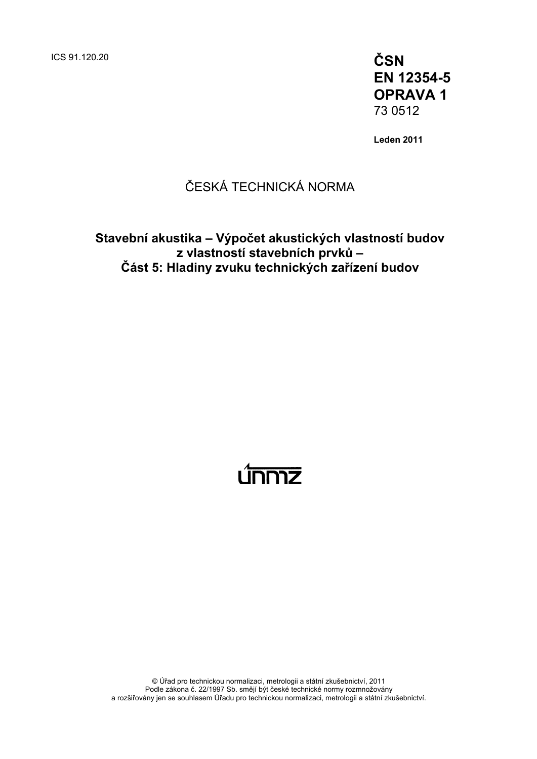ICS 91.120.20 **ČSN** 

**EN 12354-5 OPRAVA 1**  73 0512

**Leden 2011** 

## ČESKÁ TECHNICKÁ NORMA

**Stavební akustika – Výpočet akustických vlastností budov z vlastností stavebních prvků – Část 5: Hladiny zvuku technických zařízení budov** 

# unnz

© Úřad pro technickou normalizaci, metrologii a státní zkušebnictví, 2011 Podle zákona č. 22/1997 Sb. smějí být české technické normy rozmnožovány a rozšiřovány jen se souhlasem Úřadu pro technickou normalizaci, metrologii a státní zkušebnictví.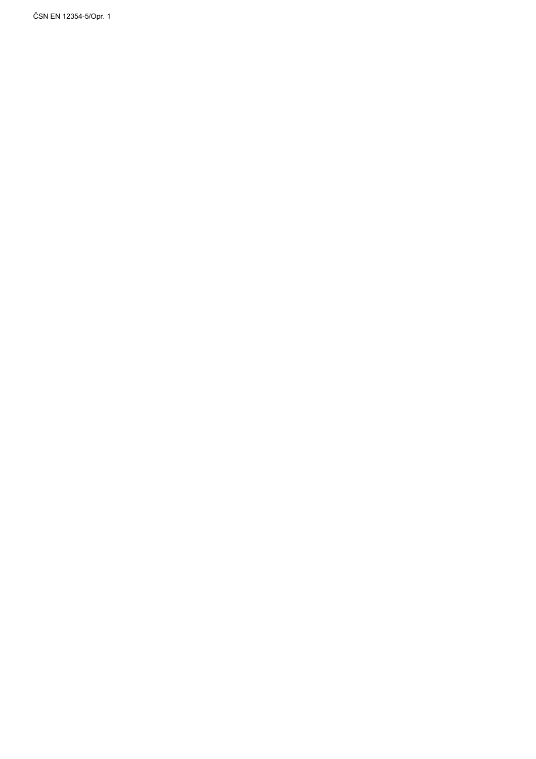ČSN EN 12354-5/Opr. 1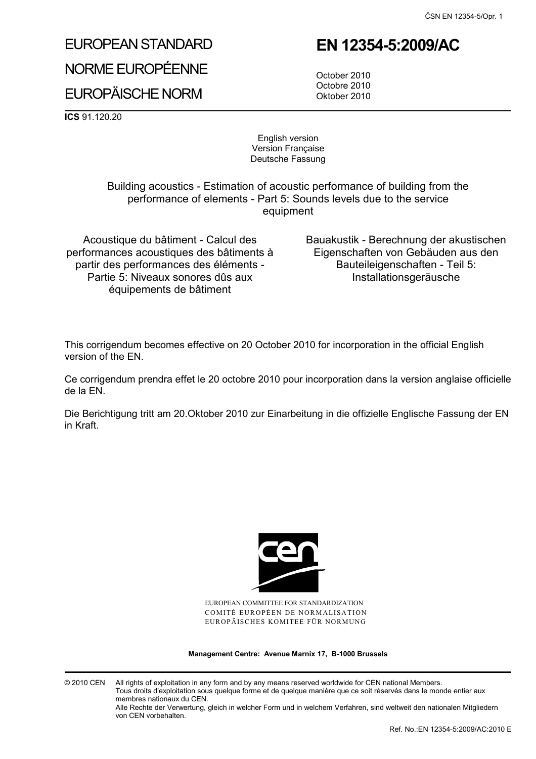## EUROPEAN STANDARD

## **EN 12354-5:2009/AC**

NORME EUROPÉENNE EUROPÄISCHE NORM

 October 2010 Octobre 2010 Oktober 2010

**ICS** 91.120.20

English version Version Française Deutsche Fassung

 Building acoustics - Estimation of acoustic performance of building from the performance of elements - Part 5: Sounds levels due to the service equipment

Acoustique du bâtiment - Calcul des performances acoustiques des bâtiments à partir des performances des éléments - Partie 5: Niveaux sonores dûs aux équipements de bâtiment

 Bauakustik - Berechnung der akustischen Eigenschaften von Gebäuden aus den Bauteileigenschaften - Teil 5: Installationsgeräusche

This corrigendum becomes effective on 20 October 2010 for incorporation in the official English version of the EN.

Ce corrigendum prendra effet le 20 octobre 2010 pour incorporation dans la version anglaise officielle de la EN.

Die Berichtigung tritt am 20.Oktober 2010 zur Einarbeitung in die offizielle Englische Fassung der EN in Kraft.



EUROPEAN COMMITTEE FOR STANDARDIZATION COMITÉ EUROPÉEN DE NORMALISATION EUROPÄISCHES KOMITEE FÜR NORMUNG

**Management Centre: Avenue Marnix 17, B-1000 Brussels** 

© 2010 CEN All rights of exploitation in any form and by any means reserved worldwide for CEN national Members. Tous droits d'exploitation sous quelque forme et de quelque manière que ce soit réservés dans le monde entier aux membres nationaux du CEN.

Alle Rechte der Verwertung, gleich in welcher Form und in welchem Verfahren, sind weltweit den nationalen Mitgliedern von CEN vorbehalten.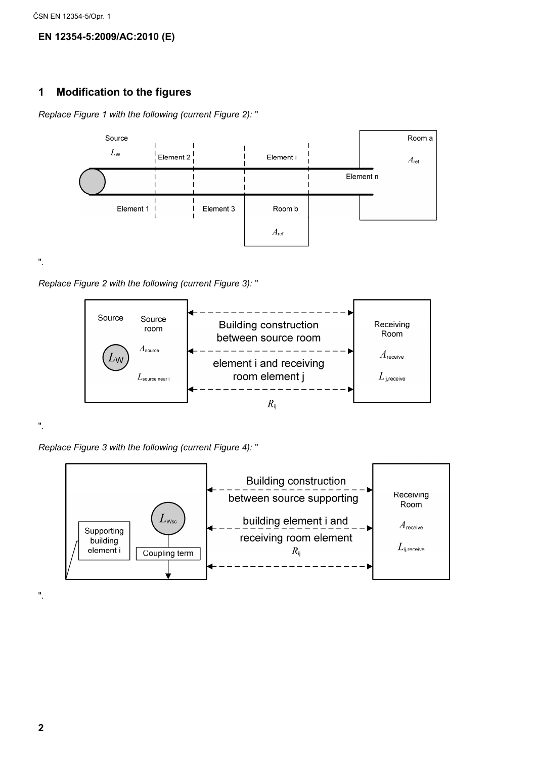ČSN EN 12354-5/Opr. 1

".

".

#### **EN 12354-5:2009/AC:2010 (E)**

#### **1 Modification to the figures**

*Replace Figure 1 with the following (current Figure 2):* "



*Replace Figure 2 with the following (current Figure 3):* "



*Replace Figure 3 with the following (current Figure 4):* "



".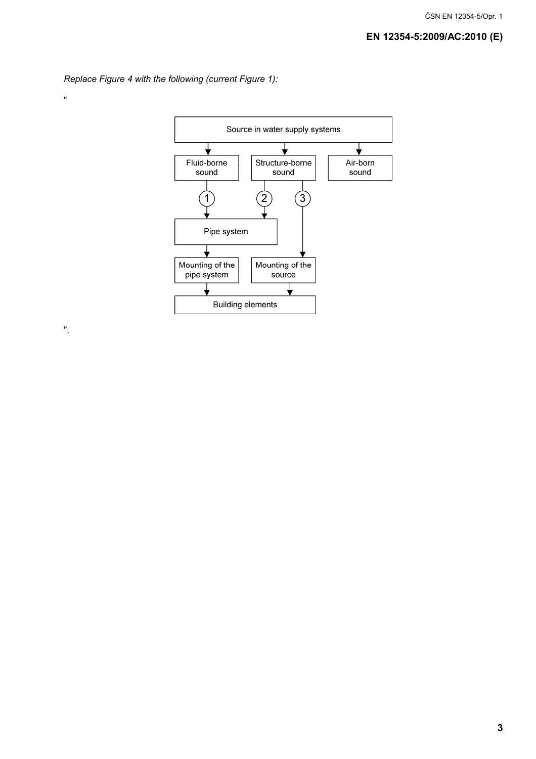### EN 12354-5:2009/AC:2010 (E)

Replace Figure 4 with the following (current Figure 1):

 $\overline{u}$ 

 $\mathbf{u}$ .